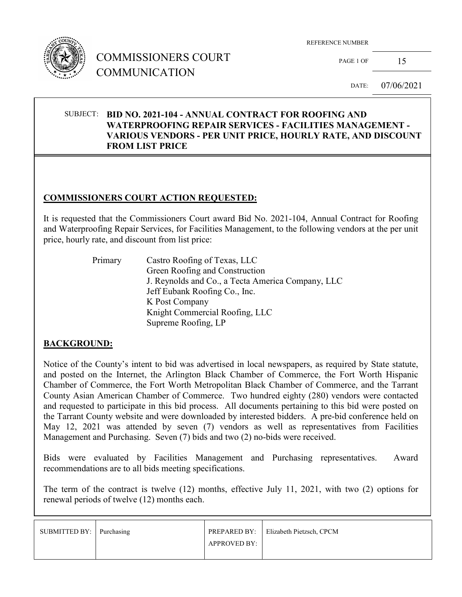

# COMMISSIONERS COURT COMMUNICATION

REFERENCE NUMBER

PAGE 1 OF  $15$ 

DATE: 07/06/2021

### SUBJECT: **BID NO. 2021-104 - ANNUAL CONTRACT FOR ROOFING AND WATERPROOFING REPAIR SERVICES - FACILITIES MANAGEMENT - VARIOUS VENDORS - PER UNIT PRICE, HOURLY RATE, AND DISCOUNT FROM LIST PRICE**

### **COMMISSIONERS COURT ACTION REQUESTED:**

It is requested that the Commissioners Court award Bid No. 2021-104, Annual Contract for Roofing and Waterproofing Repair Services, for Facilities Management, to the following vendors at the per unit price, hourly rate, and discount from list price:

> Primary Castro Roofing of Texas, LLC Green Roofing and Construction J. Reynolds and Co., a Tecta America Company, LLC Jeff Eubank Roofing Co., Inc. K Post Company Knight Commercial Roofing, LLC Supreme Roofing, LP

#### **BACKGROUND:**

Notice of the County's intent to bid was advertised in local newspapers, as required by State statute, and posted on the Internet, the Arlington Black Chamber of Commerce, the Fort Worth Hispanic Chamber of Commerce, the Fort Worth Metropolitan Black Chamber of Commerce, and the Tarrant County Asian American Chamber of Commerce. Two hundred eighty (280) vendors were contacted and requested to participate in this bid process. All documents pertaining to this bid were posted on the Tarrant County website and were downloaded by interested bidders. A pre-bid conference held on May 12, 2021 was attended by seven (7) vendors as well as representatives from Facilities Management and Purchasing. Seven (7) bids and two (2) no-bids were received.

Bids were evaluated by Facilities Management and Purchasing representatives. Award recommendations are to all bids meeting specifications.

The term of the contract is twelve (12) months, effective July 11, 2021, with two (2) options for renewal periods of twelve (12) months each.

| SUBMITTED BY: Purchasing |                     | <b>PREPARED BY:</b> Elizabeth Pietzsch, CPCM |
|--------------------------|---------------------|----------------------------------------------|
|                          | <b>APPROVED BY:</b> |                                              |